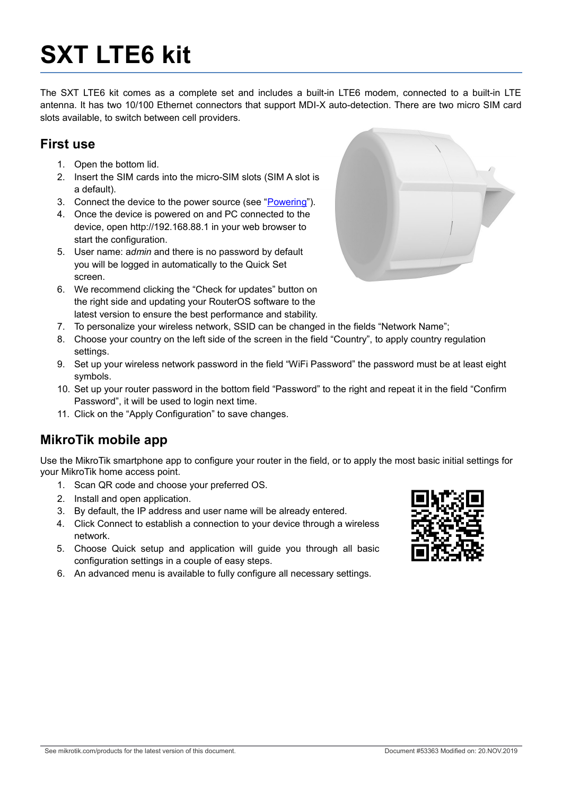# **SXT LTE6 kit**

The SXT LTE6 kit comes as a complete set and includes a built-in LTE6 modem, connected to a built-in LTE antenna. It has two 10/100 Ethernet connectors that support MDI-X auto-detection. There are two micro SIM card slots available, to switch between cell providers.

#### **First use**

- 1. Open the bottom lid.
- 2. Insert the SIM cards into the micro-SIM slots (SIM A slot is a default).
- 3. Connect the device to the power source (see ["Powering"](#page-2-0)).
- 4. Once the device is powered on and PC connected to the device, open http://192.168.88.1 in your web browser to start the configuration.
- 5. User name: a*dmin* and there is no password by default you will be logged in automatically to the Quick Set screen.
- 6. We recommend clicking the "Check for updates" button on the right side and updating your RouterOS software to the latest version to ensure the best performance and stability.



- 7. To personalize your wireless network, SSID can be changed in the fields "Network Name";
- 8. Choose your country on the left side of the screen in the field "Country", to apply country regulation settings.
- 9. Set up your wireless network password in the field "WiFi Password" the password must be at least eight symbols.
- 10. Set up your router password in the bottom field "Password" to the right and repeat it in the field "Confirm Password", it will be used to login next time.
- 11. Click on the "Apply Configuration" to save changes.

#### **MikroTik mobile app**

Use the MikroTik smartphone app to configure your router in the field, or to apply the most basic initial settings for your MikroTik home access point.

- 1. Scan QR code and choose your preferred OS.
- 2. Install and open application.
- 3. By default, the IP address and user name will be already entered.
- 4. Click Connect to establish a connection to your device through a wireless network.
- 5. Choose Quick setup and application will guide you through all basic configuration settings in a couple of easy steps.
- 6. An advanced menu is available to fully configure all necessary settings.

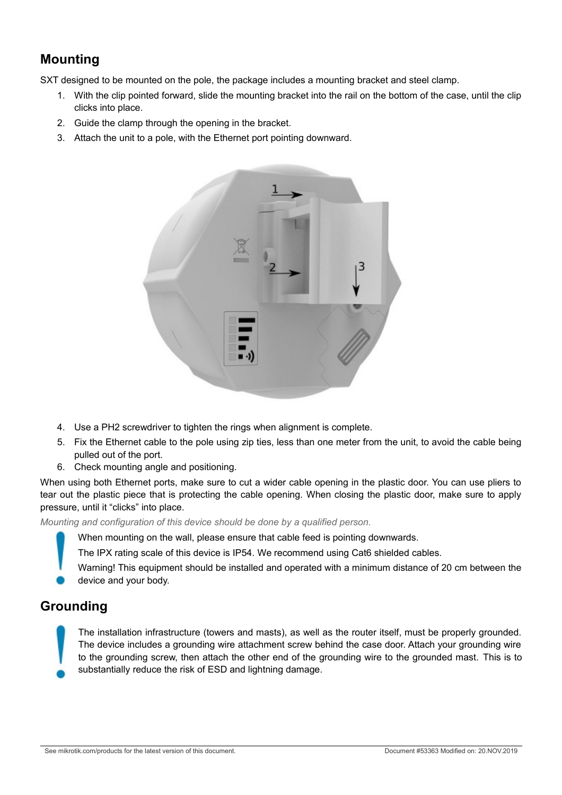# **Mounting**

SXT designed to be mounted on the pole, the package includes a mounting bracket and steel clamp.

- 1. With the clip pointed forward, slide the mounting bracket into the rail on the bottom of the case, until the clip clicks into place.
- 2. Guide the clamp through the opening in the bracket.
- 3. Attach the unit to a pole, with the Ethernet port pointing downward.



- 4. Use a PH2 screwdriver to tighten the rings when alignment is complete.
- 5. Fix the Ethernet cable to the pole using zip ties, less than one meter from the unit, to avoid the cable being pulled out of the port.
- 6. Check mounting angle and positioning.

When using both Ethernet ports, make sure to cut a wider cable opening in the plastic door. You can use pliers to tear out the plastic piece that is protecting the cable opening. When closing the plastic door, make sure to apply pressure, until it "clicks" into place.

*Mounting and configuration of this device should be done by a qualified person.*

When mounting on the wall, please ensure that cable feed is pointing downwards.

The IPX rating scale of this device is IP54. We recommend using Cat6 shielded cables.

Warning! This equipment should be installed and operated with a minimum distance of 20 cm between the device and your body.

#### **Grounding**

The installation infrastructure (towers and masts), as well as the router itself, must be properly grounded. The device includes a grounding wire attachment screw behind the case door. Attach your grounding wire to the grounding screw, then attach the other end of the grounding wire to the grounded mast. This is to substantially reduce the risk of ESD and lightning damage.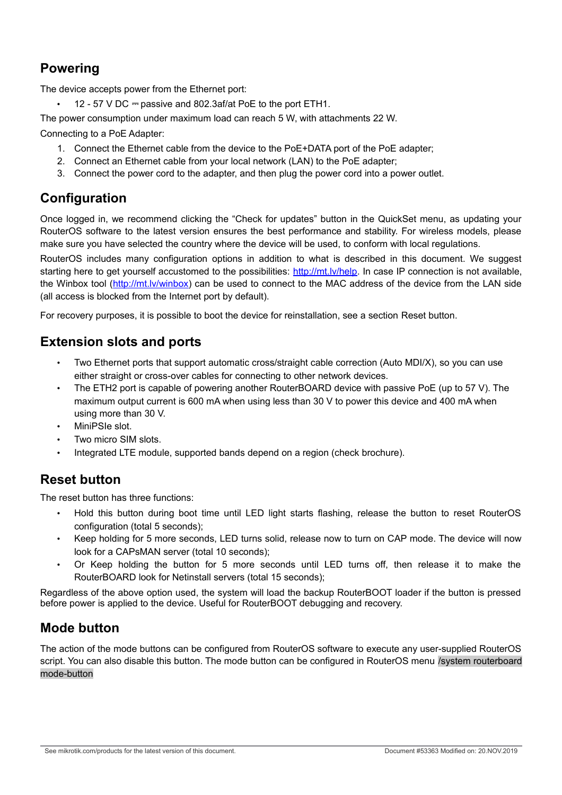# <span id="page-2-0"></span>**Powering**

The device accepts power from the Ethernet port:

12 - 57 V DC  $=$  passive and 802.3af/at PoE to the port ETH1.

The power consumption under maximum load can reach 5 W, with attachments 22 W.

Connecting to a PoE Adapter:

- 1. Connect the Ethernet cable from the device to the PoE+DATA port of the PoE adapter;
- 2. Connect an Ethernet cable from your local network (LAN) to the PoE adapter;
- 3. Connect the power cord to the adapter, and then plug the power cord into a power outlet.

## **Configuration**

Once logged in, we recommend clicking the "Check for updates" button in the QuickSet menu, as updating your RouterOS software to the latest version ensures the best performance and stability. For wireless models, please make sure you have selected the country where the device will be used, to conform with local regulations.

RouterOS includes many configuration options in addition to what is described in this document. We suggest starting here to get yourself accustomed to the possibilities: [http://mt.lv/help.](http://mt.lv/help) In case IP connection is not available, the Winbox tool [\(http://mt.lv/winbox\)](http://mt.lv/winbox) can be used to connect to the MAC address of the device from the LAN side (all access is blocked from the Internet port by default).

For recovery purposes, it is possible to boot the device for reinstallation, see a section [Reset button.](#page-2-1)

#### **Extension slots and ports**

- Two Ethernet ports that support automatic cross/straight cable correction (Auto MDI/X), so you can use either straight or cross-over cables for connecting to other network devices.
- The ETH2 port is capable of powering another RouterBOARD device with passive PoE (up to 57 V). The maximum output current is 600 mA when using less than 30 V to power this device and 400 mA when using more than 30 V.
- MiniPSIe slot.
- Two micro SIM slots.
- Integrated LTE module, supported bands depend on a region (check brochure).

#### <span id="page-2-1"></span>**Reset button**

The reset button has three functions:

- Hold this button during boot time until LED light starts flashing, release the button to reset RouterOS configuration (total 5 seconds);
- Keep holding for 5 more seconds, LED turns solid, release now to turn on CAP mode. The device will now look for a CAPsMAN server (total 10 seconds);
- Or Keep holding the button for 5 more seconds until LED turns off, then release it to make the RouterBOARD look for Netinstall servers (total 15 seconds);

Regardless of the above option used, the system will load the backup RouterBOOT loader if the button is pressed before power is applied to the device. Useful for RouterBOOT debugging and recovery.

# **Mode button**

The action of the mode buttons can be configured from RouterOS software to execute any user-supplied RouterOS script. You can also disable this button. The mode button can be configured in RouterOS menu /system routerboard mode-button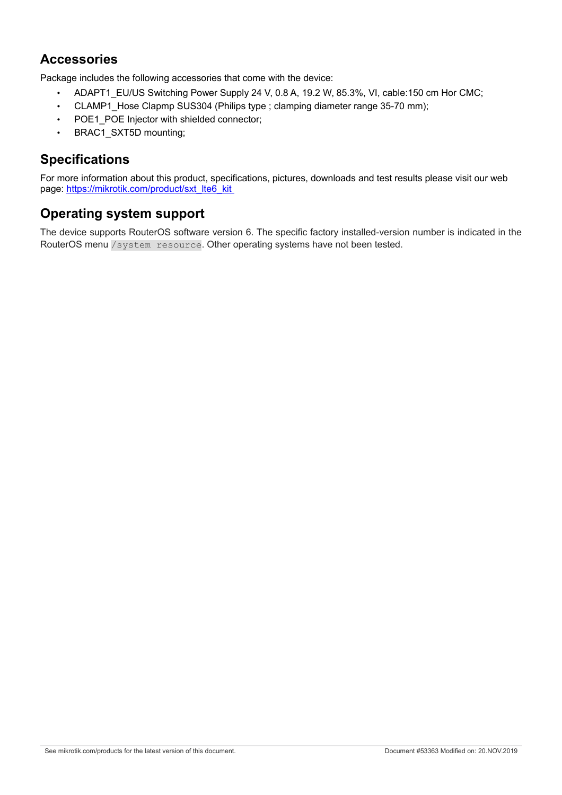#### **Accessories**

Package includes the following accessories that come with the device:

- ADAPT1 EU/US Switching Power Supply 24 V, 0.8 A, 19.2 W, 85.3%, VI, cable:150 cm Hor CMC;
- CLAMP1\_Hose Clapmp SUS304 (Philips type ; clamping diameter range 35-70 mm);
- POE1\_POE Injector with shielded connector;
- BRAC1\_SXT5D mounting;

## **Specifications**

For more information about this product, specifications, pictures, downloads and test results please visit our web page: [https://mikrotik.com/product/sxt\\_lte6\\_kit](https://mikrotik.com/product/sxt_lte6_kit) 

## **Operating system support**

The device supports RouterOS software version 6. The specific factory installed-version number is indicated in the RouterOS menu /system resource. Other operating systems have not been tested.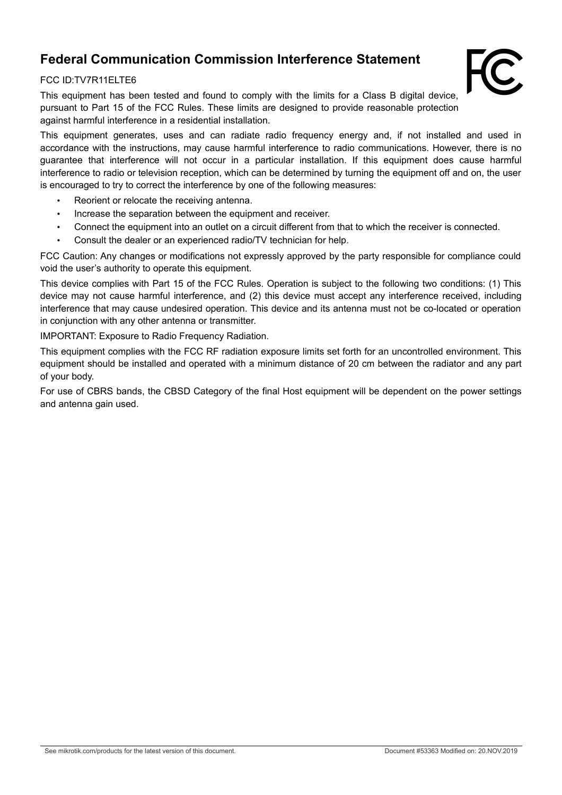# **Federal Communication Commission Interference Statement**

#### FCC ID:TV7R11ELTE6

This equipment has been tested and found to comply with the limits for a Class B digital device, pursuant to Part 15 of the FCC Rules. These limits are designed to provide reasonable protection against harmful interference in a residential installation.

This equipment generates, uses and can radiate radio frequency energy and, if not installed and used in accordance with the instructions, may cause harmful interference to radio communications. However, there is no guarantee that interference will not occur in a particular installation. If this equipment does cause harmful interference to radio or television reception, which can be determined by turning the equipment off and on, the user is encouraged to try to correct the interference by one of the following measures:

- Reorient or relocate the receiving antenna.
- Increase the separation between the equipment and receiver.
- Connect the equipment into an outlet on a circuit different from that to which the receiver is connected.
- Consult the dealer or an experienced radio/TV technician for help.

FCC Caution: Any changes or modifications not expressly approved by the party responsible for compliance could void the user's authority to operate this equipment.

This device complies with Part 15 of the FCC Rules. Operation is subject to the following two conditions: (1) This device may not cause harmful interference, and (2) this device must accept any interference received, including interference that may cause undesired operation. This device and its antenna must not be co-located or operation in conjunction with any other antenna or transmitter.

IMPORTANT: Exposure to Radio Frequency Radiation.

This equipment complies with the FCC RF radiation exposure limits set forth for an uncontrolled environment. This equipment should be installed and operated with a minimum distance of 20 cm between the radiator and any part of your body.

For use of CBRS bands, the CBSD Category of the final Host equipment will be dependent on the power settings and antenna gain used.

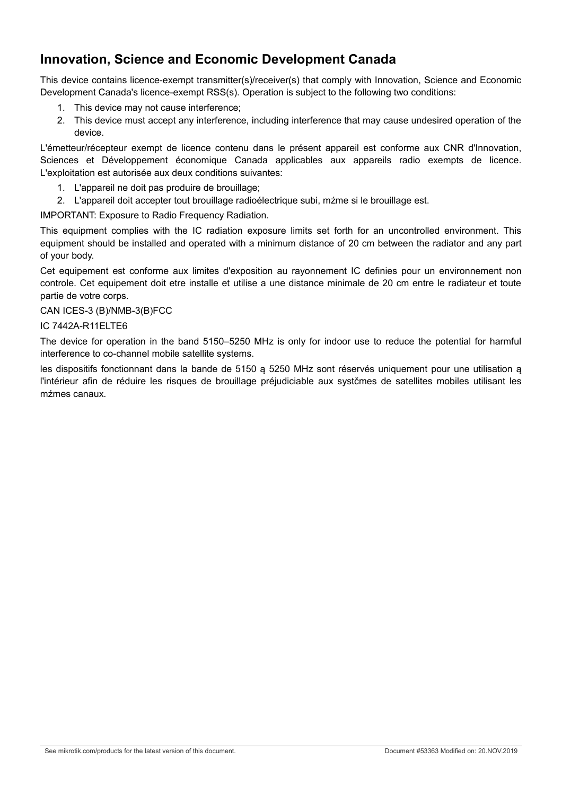## **Innovation, Science and Economic Development Canada**

This device contains licence-exempt transmitter(s)/receiver(s) that comply with Innovation, Science and Economic Development Canada's licence-exempt RSS(s). Operation is subject to the following two conditions:

- 1. This device may not cause interference;
- 2. This device must accept any interference, including interference that may cause undesired operation of the device.

L'émetteur/récepteur exempt de licence contenu dans le présent appareil est conforme aux CNR d'Innovation, Sciences et Développement économique Canada applicables aux appareils radio exempts de licence. L'exploitation est autorisée aux deux conditions suivantes:

- 1. L'appareil ne doit pas produire de brouillage;
- 2. L'appareil doit accepter tout brouillage radioélectrique subi, mźme si le brouillage est.

IMPORTANT: Exposure to Radio Frequency Radiation.

This equipment complies with the IC radiation exposure limits set forth for an uncontrolled environment. This equipment should be installed and operated with a minimum distance of 20 cm between the radiator and any part of your body.

Cet equipement est conforme aux limites d'exposition au rayonnement IC definies pour un environnement non controle. Cet equipement doit etre installe et utilise a une distance minimale de 20 cm entre le radiateur et toute partie de votre corps.

CAN ICES-3 (B)/NMB-3(B)FCC

#### IC 7442A-R11ELTE6

The device for operation in the band 5150–5250 MHz is only for indoor use to reduce the potential for harmful interference to co-channel mobile satellite systems.

les dispositifs fonctionnant dans la bande de 5150 ą 5250 MHz sont réservés uniquement pour une utilisation ą l'intérieur afin de réduire les risques de brouillage préjudiciable aux systčmes de satellites mobiles utilisant les mźmes canaux.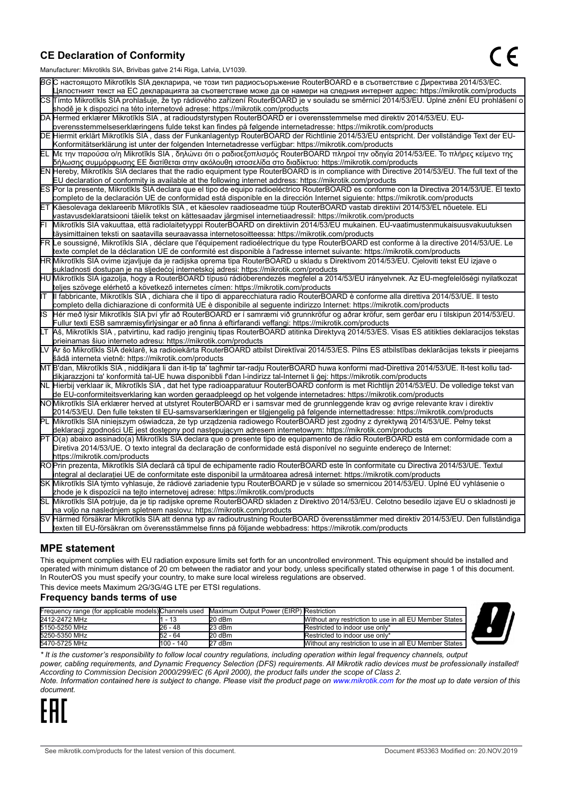#### **CE Declaration of Conformity**

Manufacturer: Mikrotikls SIA, Brivibas gatve 214i Riga, Latvia, LV1039.

|    | ividi iulacturei . Iviiki olikis OIA, Ditvibas yatve ZT41 Nya, Latvia, Lv 1009                                                                                                                                                              |
|----|---------------------------------------------------------------------------------------------------------------------------------------------------------------------------------------------------------------------------------------------|
|    | ВСС настоящото Mikrotīkls SIA декларира, че този тип радиосъоръжение RouterBOARD е в съответствие с Директива 2014/53/EC.                                                                                                                   |
|    | Цялостният текст на ЕС декларацията за съответствие може да се намери на следния интернет адрес: https://mikrotik.com/products                                                                                                              |
|    | CS Tímto Mikrotīkls SIA prohlašuje, že typ rádiového zařízení RouterBOARD je v souladu se směrnicí 2014/53/EU. Úplné znění EU prohlášení o                                                                                                  |
|    | shodě je k dispozici na této internetové adrese: https://mikrotik.com/products                                                                                                                                                              |
|    | DA Hermed erklærer Mikrotīkls SIA, at radioudstyrstypen RouterBOARD er i overensstemmelse med direktiv 2014/53/EU. EU-                                                                                                                      |
|    | overensstemmelseserklæringens fulde tekst kan findes på følgende internetadresse: https://mikrotik.com/products                                                                                                                             |
|    | DE Hiermit erklärt Mikrotīkls SIA, dass der Funkanlagentyp RouterBOARD der Richtlinie 2014/53/EU entspricht. Der vollständige Text der EU-                                                                                                  |
|    | Konformitätserklärung ist unter der folgenden Internetadresse verfügbar: https://mikrotik.com/products                                                                                                                                      |
| EL | Με την παρούσα ο/η Mikrotīkls SIA, δηλώνει ότι ο ραδιοεξοπλισμός RouterBOARD πληροί την οδηγία 2014/53/ΕΕ. Το πλήρες κείμενο της<br>δήλωσης συμμόρφωσης ΕΕ διατίθεται στην ακόλουθη ιστοσελίδα στο διαδίκτυο: https://mikrotik.com/products |
|    | EN Hereby, Mikrotīkls SIA declares that the radio equipment type RouterBOARD is in compliance with Directive 2014/53/EU. The full text of the                                                                                               |
|    | EU declaration of conformity is available at the following internet address: https://mikrotik.com/products                                                                                                                                  |
|    | ES Por la presente, Mikrotīkls SIA declara que el tipo de equipo radioeléctrico RouterBOARD es conforme con la Directiva 2014/53/UE. El texto                                                                                               |
|    | completo de la declaración UE de conformidad está disponible en la dirección Internet siguiente: https://mikrotik.com/products                                                                                                              |
|    | ET Käesolevaga deklareerib Mikrotīkls SIA, et käesolev raadioseadme tüüp RouterBOARD vastab direktiivi 2014/53/EL nõuetele. ELi                                                                                                             |
|    | vastavusdeklaratsiooni täielik tekst on kättesaadav järgmisel internetiaadressil: https://mikrotik.com/products                                                                                                                             |
|    | Mikrotīkls SIA vakuuttaa, että radiolaitetyyppi RouterBOARD on direktiivin 2014/53/EU mukainen. EU-vaatimustenmukaisuusvakuutuksen                                                                                                          |
|    | täysimittainen teksti on saatavilla seuraavassa internetosoitteessa: https://mikrotik.com/products                                                                                                                                          |
|    | FR Le soussigné, Mikrotīkls SIA , déclare que l'équipement radioélectrique du type RouterBOARD est conforme à la directive 2014/53/UE. Le                                                                                                   |
|    | texte complet de la déclaration UE de conformité est disponible à l'adresse internet suivante: https://mikrotik.com/products                                                                                                                |
|    | HR∭likrotīkls SIA ovime izjavljuje da je radijska oprema tipa RouterBOARD u skladu s Direktivom 2014/53/EU. Cjeloviti tekst EU izjave o                                                                                                     |
|    | sukladnosti dostupan je na sljedećoj internetskoj adresi: https://mikrotik.com/products                                                                                                                                                     |
|    | HU Mikrotīkls SIA igazolja, hogy a RouterBOARD típusú rádióberendezés megfelel a 2014/53/EU irányelvnek. Az EU-megfelelőségi nyilatkozat                                                                                                    |
|    | teljes szövege elérhető a következő internetes címen: https://mikrotik.com/products                                                                                                                                                         |
| lΓ | Ill fabbricante, Mikrotīkls SIA, dichiara che il tipo di apparecchiatura radio RouterBOARD è conforme alla direttiva 2014/53/UE. Il testo                                                                                                   |
|    | completo della dichiarazione di conformità UE è disponibile al seguente indirizzo Internet: https://mikrotik.com/products                                                                                                                   |
| IS | Hér með lýsir Mikrotīkls SIA því yfir að RouterBOARD er í samræmi við grunnkröfur og aðrar kröfur, sem gerðar eru í tilskipun 2014/53/EU.                                                                                                   |
|    | Fullur texti ESB samræmisyfirlýsingar er að finna á eftirfarandi veffangi: https://mikrotik.com/products                                                                                                                                    |
| LТ | Aš, Mikrotīkls SIA, patvirtinu, kad radijo įrenginių tipas RouterBOARD atitinka Direktyvą 2014/53/ES. Visas ES atitikties deklaracijos tekstas                                                                                              |
|    | prieinamas šiuo interneto adresu: https://mikrotik.com/products                                                                                                                                                                             |
|    | Ar šo Mikrotīkls SIA deklarē, ka radioiekārta RouterBOARD atbilst Direktīvai 2014/53/ES. Pilns ES atbilstības deklarācijas teksts ir pieejams                                                                                               |
|    | šādā interneta vietnē: https://mikrotik.com/products                                                                                                                                                                                        |
|    | MT B'dan, Mikrotīkls SIA , niddikjara li dan it-tip ta' tagħmir tar-radju RouterBOARD huwa konformi mad-Direttiva 2014/53/UE. It-test kollu tad-                                                                                            |
|    | dikjarazzjoni ta' konformità tal-UE huwa disponibbli f'dan l-indirizz tal-Internet li ġej: https://mikrotik.com/products                                                                                                                    |
|    | NL  Hierbij verklaar ik, Mikrotīkls SIA , dat het type radioapparatuur RouterBOARD conform is met Richtlijn 2014/53/EU. De volledige tekst van                                                                                              |
|    | de EU-conformiteitsverklaring kan worden geraadpleegd op het volgende internetadres: https://mikrotik.com/products                                                                                                                          |
|    | NOMikrotīkls SIA erklærer herved at utstyret RouterBOARD er i samsvar med de grunnleggende krav og øvrige relevante krav i direktiv                                                                                                         |
|    | 2014/53/EU. Den fulle teksten til EU-samsvarserklæringen er tilgjengelig på følgende internettadresse: https://mikrotik.com/products                                                                                                        |
| ĒΓ | Mikrotīkls SIA niniejszym oświadcza, że typ urządzenia radiowego RouterBOARD jest zgodny z dyrektywą 2014/53/UE. Pełny tekst                                                                                                                |
|    | deklaracji zgodności UE jest dostępny pod następującym adresem internetowym: https://mikrotik.com/products                                                                                                                                  |
|    | PT O(a) abaixo assinado(a) Mikrotīkls SIA declara que o presente tipo de equipamento de rádio RouterBOARD está em conformidade com a                                                                                                        |
|    | Diretiva 2014/53/UE. O texto integral da declaração de conformidade está disponível no seguinte endereço de Internet:                                                                                                                       |
|    | https://mikrotik.com/products                                                                                                                                                                                                               |
|    | ROPrin prezenta, Mikrotīkls SIA declară că tipul de echipamente radio RouterBOARD este în conformitate cu Directiva 2014/53/UE. Textul                                                                                                      |
|    | integral al declarației UE de conformitate este disponibil la următoarea adresă internet: https://mikrotik.com/products                                                                                                                     |
|    | SK Mikrotīkls SIA týmto vyhlasuje, že rádiové zariadenie typu RouterBOARD je v súlade so smernicou 2014/53/EÚ. Úplné EÚ vyhlásenie o                                                                                                        |
|    | zhode je k dispozícii na tejto internetovej adrese: https://mikrotik.com/products                                                                                                                                                           |
|    | SL Mikrotīkls SIA potrjuje, da je tip radijske opreme RouterBOARD skladen z Direktivo 2014/53/EU. Celotno besedilo izjave EU o skladnosti je                                                                                                |
|    | na voljo na naslednjem spletnem naslovu: https://mikrotik.com/products                                                                                                                                                                      |
|    | SV Härmed försäkrar Mikrotīkls SIA att denna typ av radioutrustning RouterBOARD överensstämmer med direktiv 2014/53/EU. Den fullständiga                                                                                                    |
|    | texten till EU-försäkran om överensstämmelse finns på följande webbadress: https://mikrotik.com/products                                                                                                                                    |

#### **MPE statement**

This equipment complies with EU radiation exposure limits set forth for an uncontrolled environment. This equipment should be installed and operated with minimum distance of 20 cm between the radiator and your body, unless specifically stated otherwise in page 1 of this document. In RouterOS you must specify your country, to make sure local wireless regulations are observed.

This device meets Maximum 2G/3G/4G LTE per ETSI regulations.

#### **Frequency bands terms of use**

| Frequency range (for applicable models) Channels used Maximum Output Power (EIRP) Restriction |           |        |                                                        |  |
|-----------------------------------------------------------------------------------------------|-----------|--------|--------------------------------------------------------|--|
| 2412-2472 MHz                                                                                 | - 13      | 20 dBm | Without any restriction to use in all EU Member States |  |
| 5150-5250 MHz                                                                                 | 26 - 48   | 23 dBm | Restricted to indoor use only*                         |  |
| 5250-5350 MHz                                                                                 | 52 - 64   | 20 dBm | Restricted to indoor use only*                         |  |
| 5470-5725 MHz                                                                                 | 100 - 140 | 27 dBm | Without any restriction to use in all EU Member States |  |



*\* It is the customer's responsibility to follow local country regulations, including operation within legal frequency channels, output*

*power, cabling requirements, and Dynamic Frequency Selection (DFS) requirements. All Mikrotik radio devices must be professionally installed! According to Commission Decision 2000/299/EC (6 April 2000), the product falls under the scope of Class 2.*

*Note. Information contained here is subject to change. Please visit the product page on [www.mikrotik.com](http://www.mikrotik.com/) for the most up to date version of this document.*